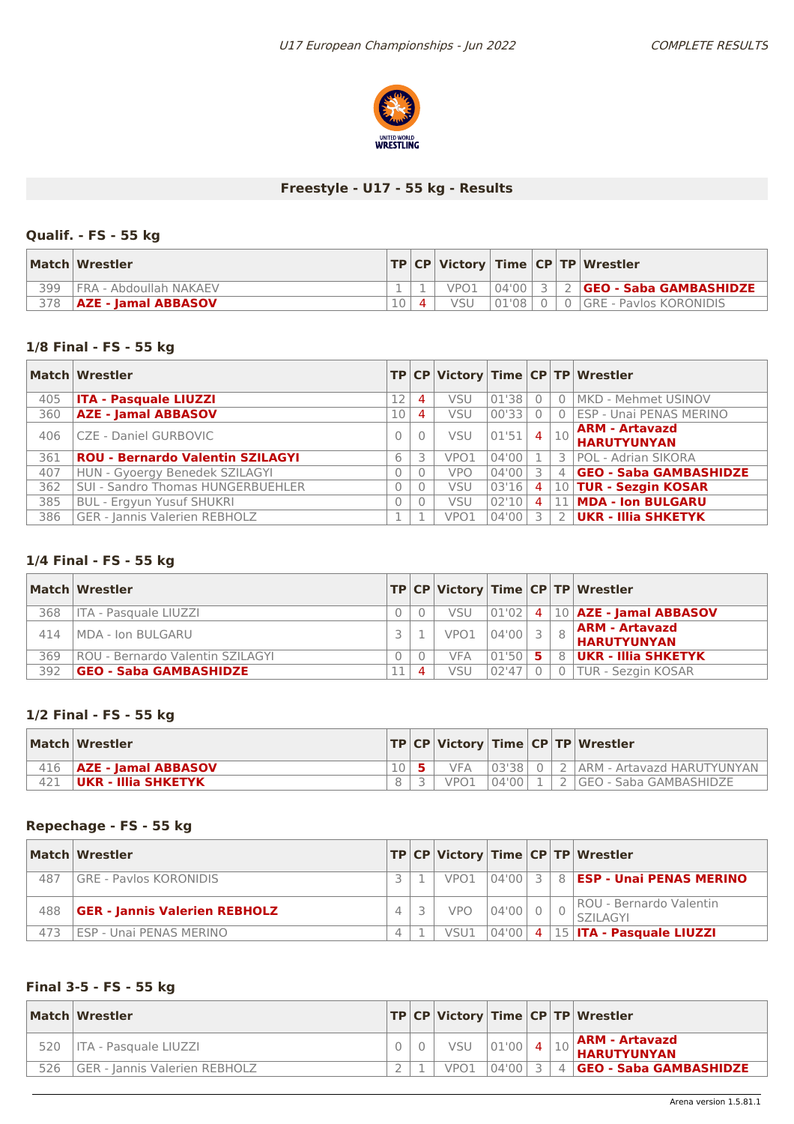

# **Freestyle - U17 - 55 kg - Results**

# **Qualif. - FS - 55 kg**

|     | Match Wrestler             |  |            |       |  | TP   CP   Victory   Time   CP   TP   Wrestler |
|-----|----------------------------|--|------------|-------|--|-----------------------------------------------|
| 399 | FRA - Abdoullah NAKAEV     |  | VPO1       | 04'00 |  | <b>GEO - Saba GAMBASHIDZE</b>                 |
| 378 | <b>AZE - Jamal ABBASOV</b> |  | <b>VSU</b> | 01'08 |  | 0 GRE - Paylos KORONIDIS                      |

# **1/8 Final - FS - 55 kg**

|     | Match Wrestler                          |    |          |            |       |                |                | TP CP   Victory   Time   CP   TP   Wrestler |
|-----|-----------------------------------------|----|----------|------------|-------|----------------|----------------|---------------------------------------------|
| 405 | <b>ITA - Pasquale LIUZZI</b>            | 12 | 4        | <b>VSU</b> | 01'38 |                | $\Omega$       | MKD - Mehmet USINOV                         |
| 360 | <b>AZE - Jamal ABBASOV</b>              | 10 | 4        | VSU        | 00'33 |                | $\Omega$       | ESP - Unai PENAS MERINO                     |
| 406 | CZE - Daniel GURBOVIC                   |    | $\Omega$ | <b>VSU</b> | 01'51 | 4              | 10             | <b>ARM - Artavazd</b><br><b>HARUTYUNYAN</b> |
| 361 | <b>ROU - Bernardo Valentin SZILAGYI</b> | 6  | 3        | VPO1       | 04'00 |                |                | 3 POL - Adrian SIKORA                       |
| 407 | HUN - Gyoergy Benedek SZILAGYI          |    | 0        | <b>VPO</b> | 04'00 | 3              | $\overline{4}$ | <b>GEO - Saba GAMBASHIDZE</b>               |
| 362 | SUI - Sandro Thomas HUNGERBUEHLER       |    |          | <b>VSU</b> | 03'16 | $\overline{4}$ |                | 10 TUR - Sezgin KOSAR                       |
| 385 | <b>BUL - Ergyun Yusuf SHUKRI</b>        |    | 0        | <b>VSU</b> | 02'10 | 4              | 11             | <b>MDA - Ion BULGARU</b>                    |
| 386 | GER - Jannis Valerien REBHOLZ           |    |          | VPO1       | 04'00 | ₹              | $\mathcal{L}$  | <b>UKR - Illia SHKETYK</b>                  |

#### **1/4 Final - FS - 55 kg**

|     | Match Wrestler                   |           |      |             |  | TP CP Victory Time CP TP Wrestler            |
|-----|----------------------------------|-----------|------|-------------|--|----------------------------------------------|
| 368 | l ITA - Pasquale LIUZZI          |           | VSU  |             |  | $\boxed{01'02}$ 4   10   AZE - Jamal ABBASOV |
| 414 | MDA - Ion BULGARU                |           | VPO1 | $ 04'00 $ 3 |  | <b>ARM - Artavazd</b><br><b>HARUTYUNYAN</b>  |
| 369 | ROU - Bernardo Valentin SZILAGYI |           | VFA  | $ 01'50 $ 5 |  | 8   UKR - Illia SHKETYK                      |
| 392 | <b>GEO - Saba GAMBASHIDZE</b>    | $\Lambda$ | VSU  | 102'47      |  | 0 TUR - Sezgin KOSAR                         |

# **1/2 Final - FS - 55 kg**

| Match Wrestler               |  |      |  | TP CP Victory Time CP TP Wrestler              |
|------------------------------|--|------|--|------------------------------------------------|
| 416   AZE - Jamal ABBASOV    |  |      |  | VFA 03'38   0   2   ARM - Artavazd HARUTYUNYAN |
| $ {\sf UKR}$ - Illia SHKETYK |  | VPO1 |  | $ 04'00 $ 1   2   GEO - Saba GAMBASHIDZE       |

# **Repechage - FS - 55 kg**

|     | Match Wrestler                       |  |                  |           |  | TP CP Victory Time CP TP Wrestler                  |
|-----|--------------------------------------|--|------------------|-----------|--|----------------------------------------------------|
| 487 | GRE - Paylos KORONIDIS               |  | VPO <sub>1</sub> |           |  | $\boxed{04'00}$ 3 8 <b>ESP - Unai PENAS MERINO</b> |
| 488 | <b>GER - Jannis Valerien REBHOLZ</b> |  | <b>VPO</b>       | $04'00$ 0 |  | ROU - Bernardo Valentin<br>SZII AGYI               |
| 473 | ESP - Unai PENAS MERINO              |  | VSU1             |           |  | 04'00  4  15   ITA - Pasquale LIUZZI               |

# **Final 3-5 - FS - 55 kg**

|     | Match Wrestler                |  |                  |             |  | TP CP Victory Time CP TP Wrestler             |
|-----|-------------------------------|--|------------------|-------------|--|-----------------------------------------------|
| 520 | l ITA - Pasquale LIUZZI       |  | <b>VSU</b>       | $ 01'00 $ 4 |  | $\alpha$ ARM - Artavazd<br><b>HARUTYUNYAN</b> |
| 526 | GER - Jannis Valerien REBHOLZ |  | VPO <sub>1</sub> | 04'00       |  | 4 <b>GEO - Saba GAMBASHIDZE</b>               |